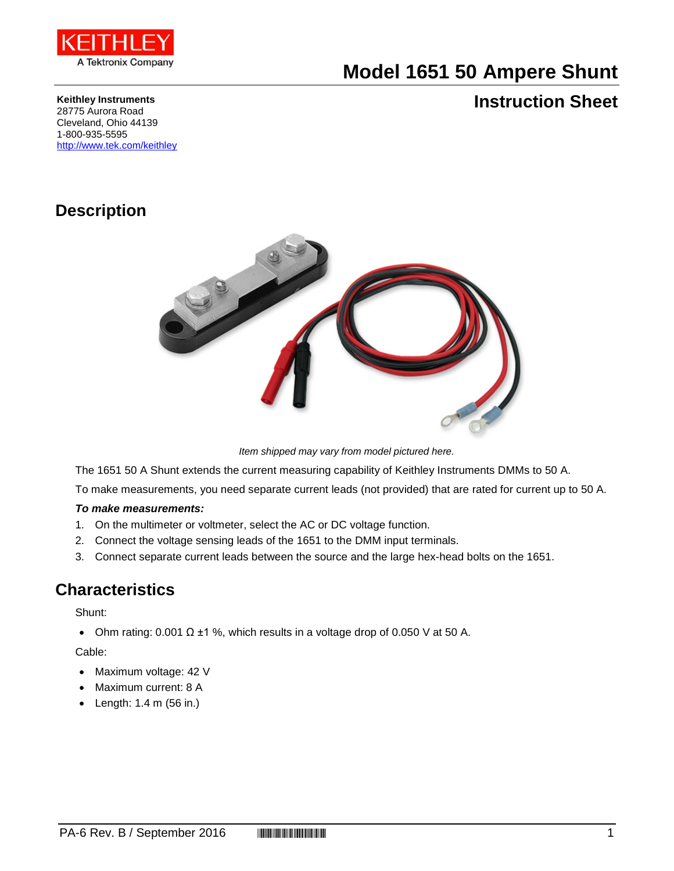

# **Model 1651 50 Ampere Shunt**

### **Keithley Instruments**

## **Instruction Sheet**

28775 Aurora Road Cleveland, Ohio 44139 1-800-935-5595 <http://www.tek.com/keithley>

## **Description**



*Item shipped may vary from model pictured here.*

The 1651 50 A Shunt extends the current measuring capability of Keithley Instruments DMMs to 50 A.

To make measurements, you need separate current leads (not provided) that are rated for current up to 50 A.

#### *To make measurements:*

- 1. On the multimeter or voltmeter, select the AC or DC voltage function.
- 2. Connect the voltage sensing leads of the 1651 to the DMM input terminals.
- 3. Connect separate current leads between the source and the large hex-head bolts on the 1651.

### **Characteristics**

Shunt:

• Ohm rating: 0.001  $\Omega$  ±1 %, which results in a voltage drop of 0.050 V at 50 A.

#### Cable:

- Maximum voltage: 42 V
- Maximum current: 8 A
- Length: 1.4 m (56 in.)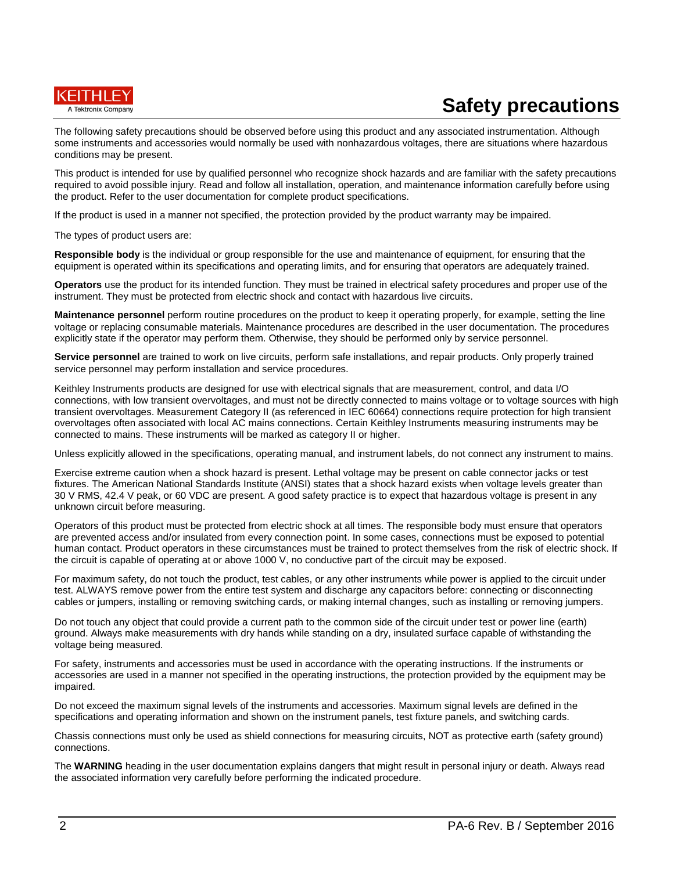

# **Safety precautions**

The following safety precautions should be observed before using this product and any associated instrumentation. Although some instruments and accessories would normally be used with nonhazardous voltages, there are situations where hazardous conditions may be present.

This product is intended for use by qualified personnel who recognize shock hazards and are familiar with the safety precautions required to avoid possible injury. Read and follow all installation, operation, and maintenance information carefully before using the product. Refer to the user documentation for complete product specifications.

If the product is used in a manner not specified, the protection provided by the product warranty may be impaired.

The types of product users are:

**Responsible body** is the individual or group responsible for the use and maintenance of equipment, for ensuring that the equipment is operated within its specifications and operating limits, and for ensuring that operators are adequately trained.

**Operators** use the product for its intended function. They must be trained in electrical safety procedures and proper use of the instrument. They must be protected from electric shock and contact with hazardous live circuits.

**Maintenance personnel** perform routine procedures on the product to keep it operating properly, for example, setting the line voltage or replacing consumable materials. Maintenance procedures are described in the user documentation. The procedures explicitly state if the operator may perform them. Otherwise, they should be performed only by service personnel.

**Service personnel** are trained to work on live circuits, perform safe installations, and repair products. Only properly trained service personnel may perform installation and service procedures.

Keithley Instruments products are designed for use with electrical signals that are measurement, control, and data I/O connections, with low transient overvoltages, and must not be directly connected to mains voltage or to voltage sources with high transient overvoltages. Measurement Category II (as referenced in IEC 60664) connections require protection for high transient overvoltages often associated with local AC mains connections. Certain Keithley Instruments measuring instruments may be connected to mains. These instruments will be marked as category II or higher.

Unless explicitly allowed in the specifications, operating manual, and instrument labels, do not connect any instrument to mains.

Exercise extreme caution when a shock hazard is present. Lethal voltage may be present on cable connector jacks or test fixtures. The American National Standards Institute (ANSI) states that a shock hazard exists when voltage levels greater than 30 V RMS, 42.4 V peak, or 60 VDC are present. A good safety practice is to expect that hazardous voltage is present in any unknown circuit before measuring.

Operators of this product must be protected from electric shock at all times. The responsible body must ensure that operators are prevented access and/or insulated from every connection point. In some cases, connections must be exposed to potential human contact. Product operators in these circumstances must be trained to protect themselves from the risk of electric shock. If the circuit is capable of operating at or above 1000 V, no conductive part of the circuit may be exposed.

For maximum safety, do not touch the product, test cables, or any other instruments while power is applied to the circuit under test. ALWAYS remove power from the entire test system and discharge any capacitors before: connecting or disconnecting cables or jumpers, installing or removing switching cards, or making internal changes, such as installing or removing jumpers.

Do not touch any object that could provide a current path to the common side of the circuit under test or power line (earth) ground. Always make measurements with dry hands while standing on a dry, insulated surface capable of withstanding the voltage being measured.

For safety, instruments and accessories must be used in accordance with the operating instructions. If the instruments or accessories are used in a manner not specified in the operating instructions, the protection provided by the equipment may be impaired.

Do not exceed the maximum signal levels of the instruments and accessories. Maximum signal levels are defined in the specifications and operating information and shown on the instrument panels, test fixture panels, and switching cards.

Chassis connections must only be used as shield connections for measuring circuits, NOT as protective earth (safety ground) connections.

The **WARNING** heading in the user documentation explains dangers that might result in personal injury or death. Always read the associated information very carefully before performing the indicated procedure.